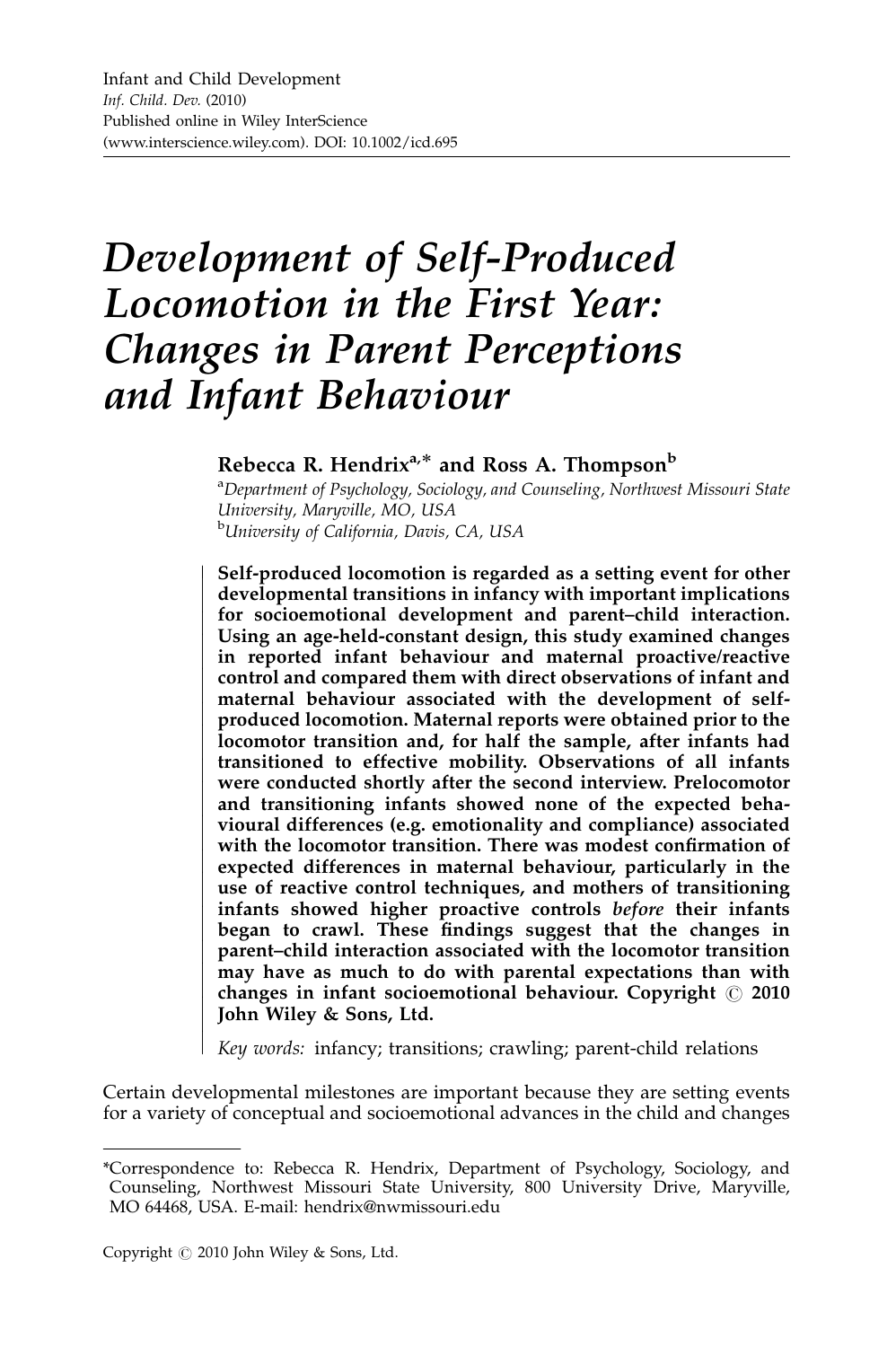-- $\overline{\phantom{a}}$  $\overline{\phantom{a}}$  $\overline{\phantom{a}}$  $\overline{\phantom{a}}$  $\overline{\phantom{a}}$  $\overline{\phantom{a}}$  $\overline{\phantom{a}}$  $\overline{\phantom{a}}$  $\overline{\phantom{a}}$  $\overline{\phantom{a}}$  $\overline{\phantom{a}}$  $\overline{\phantom{a}}$  $\overline{\phantom{a}}$  $\overline{\phantom{a}}$  $\overline{\phantom{a}}$  $\overline{\phantom{a}}$  $\overline{\phantom{a}}$  $\overline{\phantom{a}}$  $\overline{\phantom{a}}$  $\overline{\phantom{a}}$  $\overline{\phantom{a}}$  $\overline{\phantom{a}}$  $\overline{\phantom{a}}$  $\overline{\phantom{a}}$  $\overline{\phantom{a}}$  $\overline{\phantom{a}}$  $\overline{\phantom{a}}$  $\overline{\phantom{a}}$  $\overline{\phantom{a}}$  $\overline{\phantom{a}}$  $\overline{\phantom{a}}$  $\overline{\phantom{a}}$  $\overline{\phantom{a}}$  $\overline{\phantom{a}}$  $\overline{\phantom{a}}$  $\overline{\phantom{a}}$  $\overline{\phantom{a}}$  $\overline{\phantom{a}}$  $\overline{\phantom{a}}$  $\overline{\phantom{a}}$  $\overline{\phantom{a}}$ 

# Development of Self-Produced Locomotion in the First Year: Changes in Parent Perceptions and Infant Behaviour

# Rebecca R. Hendrix<sup>a,\*</sup> and Ross A. Thompson<sup>b</sup>

<sup>a</sup>Department of Psychology, Sociology, and Counseling, Northwest Missouri State University, Maryville, MO, USA <sup>b</sup>University of California, Davis, CA, USA

Self-produced locomotion is regarded as a setting event for other developmental transitions in infancy with important implications for socioemotional development and parent–child interaction. Using an age-held-constant design, this study examined changes in reported infant behaviour and maternal proactive/reactive control and compared them with direct observations of infant and maternal behaviour associated with the development of selfproduced locomotion. Maternal reports were obtained prior to the locomotor transition and, for half the sample, after infants had transitioned to effective mobility. Observations of all infants were conducted shortly after the second interview. Prelocomotor and transitioning infants showed none of the expected behavioural differences (e.g. emotionality and compliance) associated with the locomotor transition. There was modest confirmation of expected differences in maternal behaviour, particularly in the use of reactive control techniques, and mothers of transitioning infants showed higher proactive controls before their infants began to crawl. These findings suggest that the changes in parent–child interaction associated with the locomotor transition may have as much to do with parental expectations than with changes in infant socioemotional behaviour. Copyright  $\odot$  2010 John Wiley & Sons, Ltd.

Key words: infancy; transitions; crawling; parent-child relations

Certain developmental milestones are important because they are setting events for a variety of conceptual and socioemotional advances in the child and changes

<sup>\*</sup>Correspondence to: Rebecca R. Hendrix, Department of Psychology, Sociology, and Counseling, Northwest Missouri State University, 800 University Drive, Maryville, MO 64468, USA. E-mail: hendrix@nwmissouri.edu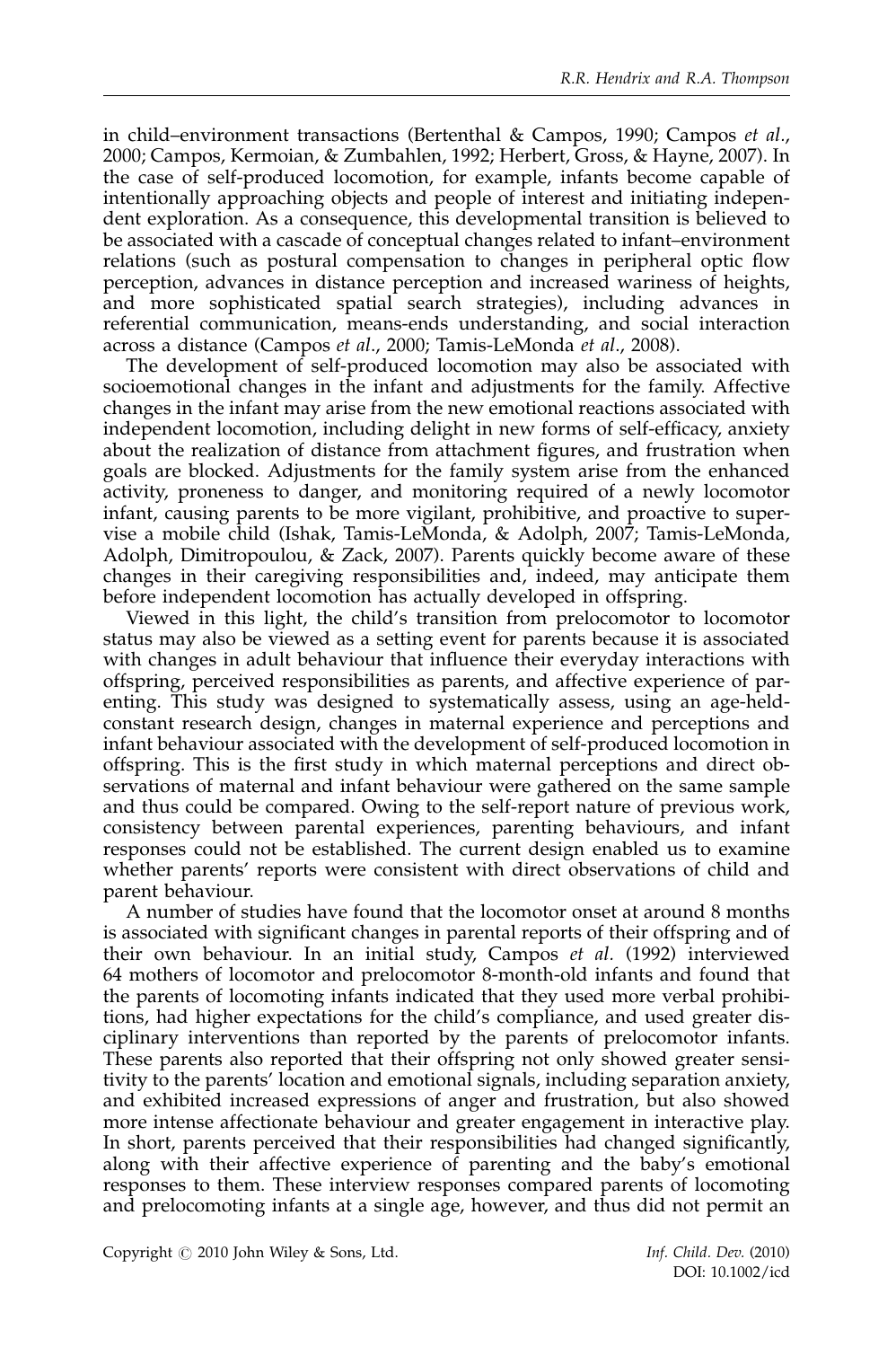in child–environment transactions (Bertenthal & Campos, 1990; Campos et al., 2000; Campos, Kermoian, & Zumbahlen, 1992; Herbert, Gross, & Hayne, 2007). In the case of self-produced locomotion, for example, infants become capable of intentionally approaching objects and people of interest and initiating independent exploration. As a consequence, this developmental transition is believed to be associated with a cascade of conceptual changes related to infant–environment relations (such as postural compensation to changes in peripheral optic flow perception, advances in distance perception and increased wariness of heights, and more sophisticated spatial search strategies), including advances in referential communication, means-ends understanding, and social interaction across a distance (Campos et al., 2000; Tamis-LeMonda et al., 2008).

The development of self-produced locomotion may also be associated with socioemotional changes in the infant and adjustments for the family. Affective changes in the infant may arise from the new emotional reactions associated with independent locomotion, including delight in new forms of self-efficacy, anxiety about the realization of distance from attachment figures, and frustration when goals are blocked. Adjustments for the family system arise from the enhanced activity, proneness to danger, and monitoring required of a newly locomotor infant, causing parents to be more vigilant, prohibitive, and proactive to supervise a mobile child (Ishak, Tamis-LeMonda, & Adolph, 2007; Tamis-LeMonda, Adolph, Dimitropoulou, & Zack, 2007). Parents quickly become aware of these changes in their caregiving responsibilities and, indeed, may anticipate them before independent locomotion has actually developed in offspring.

Viewed in this light, the child's transition from prelocomotor to locomotor status may also be viewed as a setting event for parents because it is associated with changes in adult behaviour that influence their everyday interactions with offspring, perceived responsibilities as parents, and affective experience of parenting. This study was designed to systematically assess, using an age-heldconstant research design, changes in maternal experience and perceptions and infant behaviour associated with the development of self-produced locomotion in offspring. This is the first study in which maternal perceptions and direct observations of maternal and infant behaviour were gathered on the same sample and thus could be compared. Owing to the self-report nature of previous work, consistency between parental experiences, parenting behaviours, and infant responses could not be established. The current design enabled us to examine whether parents' reports were consistent with direct observations of child and parent behaviour.

A number of studies have found that the locomotor onset at around 8 months is associated with significant changes in parental reports of their offspring and of their own behaviour. In an initial study, Campos et al. (1992) interviewed 64 mothers of locomotor and prelocomotor 8-month-old infants and found that the parents of locomoting infants indicated that they used more verbal prohibitions, had higher expectations for the child's compliance, and used greater disciplinary interventions than reported by the parents of prelocomotor infants. These parents also reported that their offspring not only showed greater sensitivity to the parents' location and emotional signals, including separation anxiety, and exhibited increased expressions of anger and frustration, but also showed more intense affectionate behaviour and greater engagement in interactive play. In short, parents perceived that their responsibilities had changed significantly, along with their affective experience of parenting and the baby's emotional responses to them. These interview responses compared parents of locomoting and prelocomoting infants at a single age, however, and thus did not permit an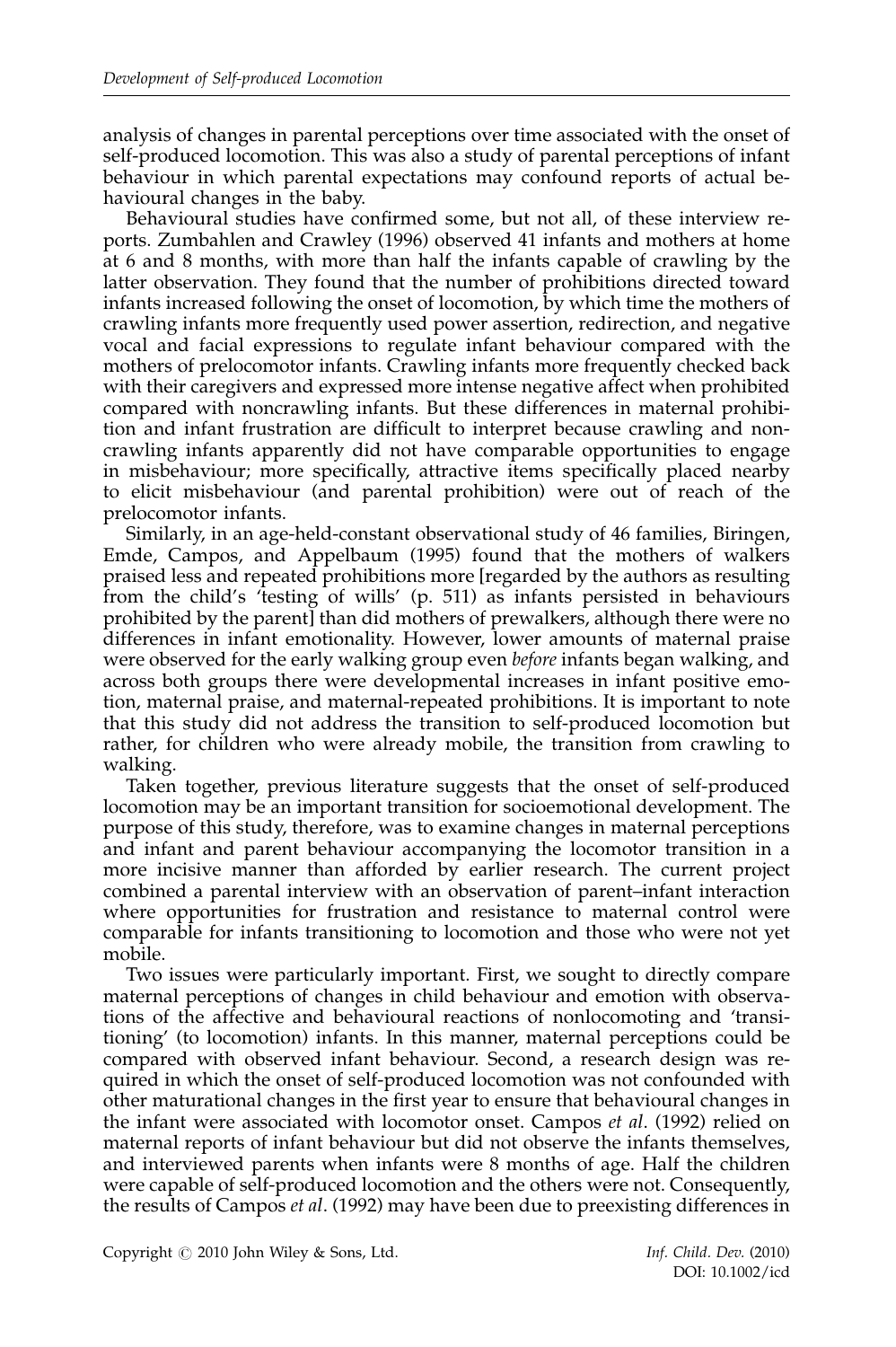analysis of changes in parental perceptions over time associated with the onset of self-produced locomotion. This was also a study of parental perceptions of infant behaviour in which parental expectations may confound reports of actual behavioural changes in the baby.

Behavioural studies have confirmed some, but not all, of these interview reports. Zumbahlen and Crawley (1996) observed 41 infants and mothers at home at 6 and 8 months, with more than half the infants capable of crawling by the latter observation. They found that the number of prohibitions directed toward infants increased following the onset of locomotion, by which time the mothers of crawling infants more frequently used power assertion, redirection, and negative vocal and facial expressions to regulate infant behaviour compared with the mothers of prelocomotor infants. Crawling infants more frequently checked back with their caregivers and expressed more intense negative affect when prohibited compared with noncrawling infants. But these differences in maternal prohibition and infant frustration are difficult to interpret because crawling and noncrawling infants apparently did not have comparable opportunities to engage in misbehaviour; more specifically, attractive items specifically placed nearby to elicit misbehaviour (and parental prohibition) were out of reach of the prelocomotor infants.

Similarly, in an age-held-constant observational study of 46 families, Biringen, Emde, Campos, and Appelbaum (1995) found that the mothers of walkers praised less and repeated prohibitions more [regarded by the authors as resulting from the child's 'testing of wills' (p. 511) as infants persisted in behaviours prohibited by the parent] than did mothers of prewalkers, although there were no differences in infant emotionality. However, lower amounts of maternal praise were observed for the early walking group even *before* infants began walking, and across both groups there were developmental increases in infant positive emotion, maternal praise, and maternal-repeated prohibitions. It is important to note that this study did not address the transition to self-produced locomotion but rather, for children who were already mobile, the transition from crawling to walking.

Taken together, previous literature suggests that the onset of self-produced locomotion may be an important transition for socioemotional development. The purpose of this study, therefore, was to examine changes in maternal perceptions and infant and parent behaviour accompanying the locomotor transition in a more incisive manner than afforded by earlier research. The current project combined a parental interview with an observation of parent–infant interaction where opportunities for frustration and resistance to maternal control were comparable for infants transitioning to locomotion and those who were not yet mobile.

Two issues were particularly important. First, we sought to directly compare maternal perceptions of changes in child behaviour and emotion with observations of the affective and behavioural reactions of nonlocomoting and 'transitioning' (to locomotion) infants. In this manner, maternal perceptions could be compared with observed infant behaviour. Second, a research design was required in which the onset of self-produced locomotion was not confounded with other maturational changes in the first year to ensure that behavioural changes in the infant were associated with locomotor onset. Campos et al. (1992) relied on maternal reports of infant behaviour but did not observe the infants themselves, and interviewed parents when infants were 8 months of age. Half the children were capable of self-produced locomotion and the others were not. Consequently, the results of Campos *et al.* (1992) may have been due to preexisting differences in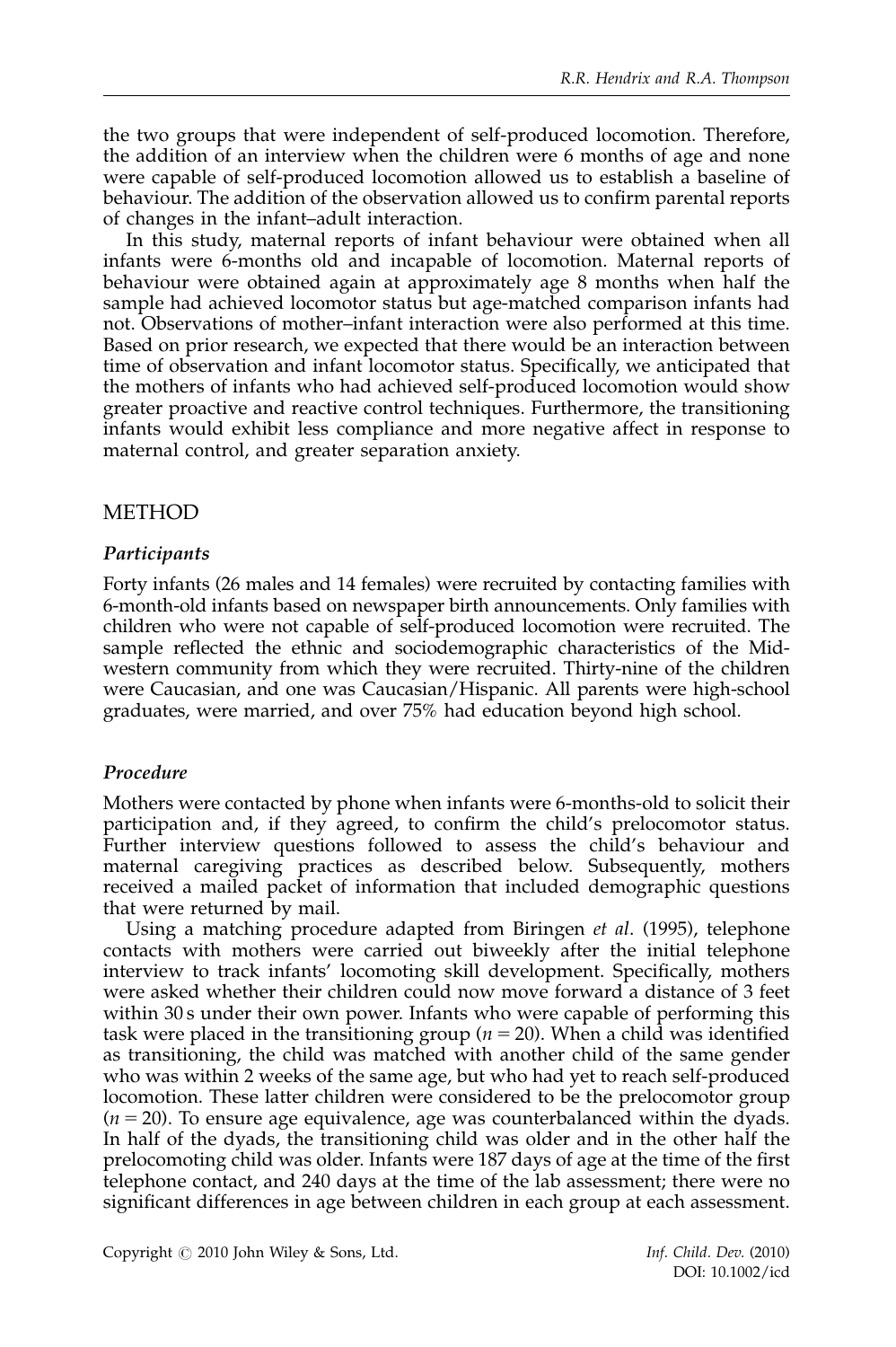the two groups that were independent of self-produced locomotion. Therefore, the addition of an interview when the children were 6 months of age and none were capable of self-produced locomotion allowed us to establish a baseline of behaviour. The addition of the observation allowed us to confirm parental reports of changes in the infant–adult interaction.

In this study, maternal reports of infant behaviour were obtained when all infants were 6-months old and incapable of locomotion. Maternal reports of behaviour were obtained again at approximately age 8 months when half the sample had achieved locomotor status but age-matched comparison infants had not. Observations of mother–infant interaction were also performed at this time. Based on prior research, we expected that there would be an interaction between time of observation and infant locomotor status. Specifically, we anticipated that the mothers of infants who had achieved self-produced locomotion would show greater proactive and reactive control techniques. Furthermore, the transitioning infants would exhibit less compliance and more negative affect in response to maternal control, and greater separation anxiety.

# METHOD

# **Participants**

Forty infants (26 males and 14 females) were recruited by contacting families with 6-month-old infants based on newspaper birth announcements. Only families with children who were not capable of self-produced locomotion were recruited. The sample reflected the ethnic and sociodemographic characteristics of the Midwestern community from which they were recruited. Thirty-nine of the children were Caucasian, and one was Caucasian/Hispanic. All parents were high-school graduates, were married, and over 75% had education beyond high school.

#### Procedure

Mothers were contacted by phone when infants were 6-months-old to solicit their participation and, if they agreed, to confirm the child's prelocomotor status. Further interview questions followed to assess the child's behaviour and maternal caregiving practices as described below. Subsequently, mothers received a mailed packet of information that included demographic questions that were returned by mail.

Using a matching procedure adapted from Biringen et al. (1995), telephone contacts with mothers were carried out biweekly after the initial telephone interview to track infants' locomoting skill development. Specifically, mothers were asked whether their children could now move forward a distance of 3 feet within 30 s under their own power. Infants who were capable of performing this task were placed in the transitioning group ( $n = 20$ ). When a child was identified as transitioning, the child was matched with another child of the same gender who was within 2 weeks of the same age, but who had yet to reach self-produced locomotion. These latter children were considered to be the prelocomotor group  $(n = 20)$ . To ensure age equivalence, age was counterbalanced within the dyads. In half of the dyads, the transitioning child was older and in the other half the prelocomoting child was older. Infants were 187 days of age at the time of the first telephone contact, and 240 days at the time of the lab assessment; there were no significant differences in age between children in each group at each assessment.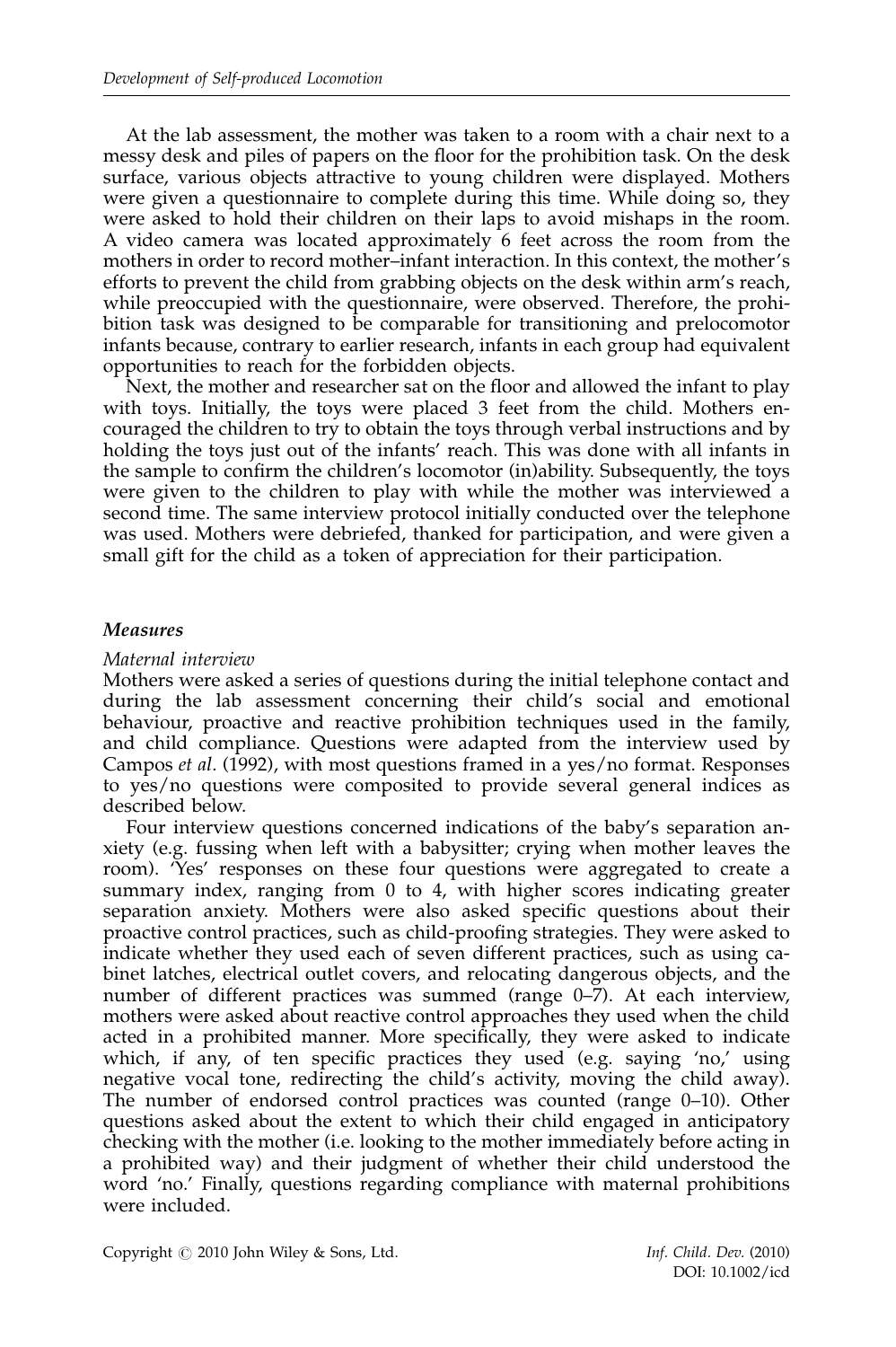At the lab assessment, the mother was taken to a room with a chair next to a messy desk and piles of papers on the floor for the prohibition task. On the desk surface, various objects attractive to young children were displayed. Mothers were given a questionnaire to complete during this time. While doing so, they were asked to hold their children on their laps to avoid mishaps in the room. A video camera was located approximately 6 feet across the room from the mothers in order to record mother–infant interaction. In this context, the mother's efforts to prevent the child from grabbing objects on the desk within arm's reach, while preoccupied with the questionnaire, were observed. Therefore, the prohibition task was designed to be comparable for transitioning and prelocomotor infants because, contrary to earlier research, infants in each group had equivalent opportunities to reach for the forbidden objects.

Next, the mother and researcher sat on the floor and allowed the infant to play with toys. Initially, the toys were placed 3 feet from the child. Mothers encouraged the children to try to obtain the toys through verbal instructions and by holding the toys just out of the infants' reach. This was done with all infants in the sample to confirm the children's locomotor (in)ability. Subsequently, the toys were given to the children to play with while the mother was interviewed a second time. The same interview protocol initially conducted over the telephone was used. Mothers were debriefed, thanked for participation, and were given a small gift for the child as a token of appreciation for their participation.

# Measures

#### Maternal interview

Mothers were asked a series of questions during the initial telephone contact and during the lab assessment concerning their child's social and emotional behaviour, proactive and reactive prohibition techniques used in the family, and child compliance. Questions were adapted from the interview used by Campos et al. (1992), with most questions framed in a yes/no format. Responses to yes/no questions were composited to provide several general indices as described below.

Four interview questions concerned indications of the baby's separation anxiety (e.g. fussing when left with a babysitter; crying when mother leaves the room). 'Yes' responses on these four questions were aggregated to create a summary index, ranging from  $\theta$  to  $\theta$ , with higher scores indicating greater separation anxiety. Mothers were also asked specific questions about their proactive control practices, such as child-proofing strategies. They were asked to indicate whether they used each of seven different practices, such as using cabinet latches, electrical outlet covers, and relocating dangerous objects, and the number of different practices was summed (range 0–7). At each interview, mothers were asked about reactive control approaches they used when the child acted in a prohibited manner. More specifically, they were asked to indicate which, if any, of ten specific practices they used (e.g. saying 'no,' using negative vocal tone, redirecting the child's activity, moving the child away). The number of endorsed control practices was counted (range 0–10). Other questions asked about the extent to which their child engaged in anticipatory checking with the mother (i.e. looking to the mother immediately before acting in a prohibited way) and their judgment of whether their child understood the word 'no.' Finally, questions regarding compliance with maternal prohibitions were included.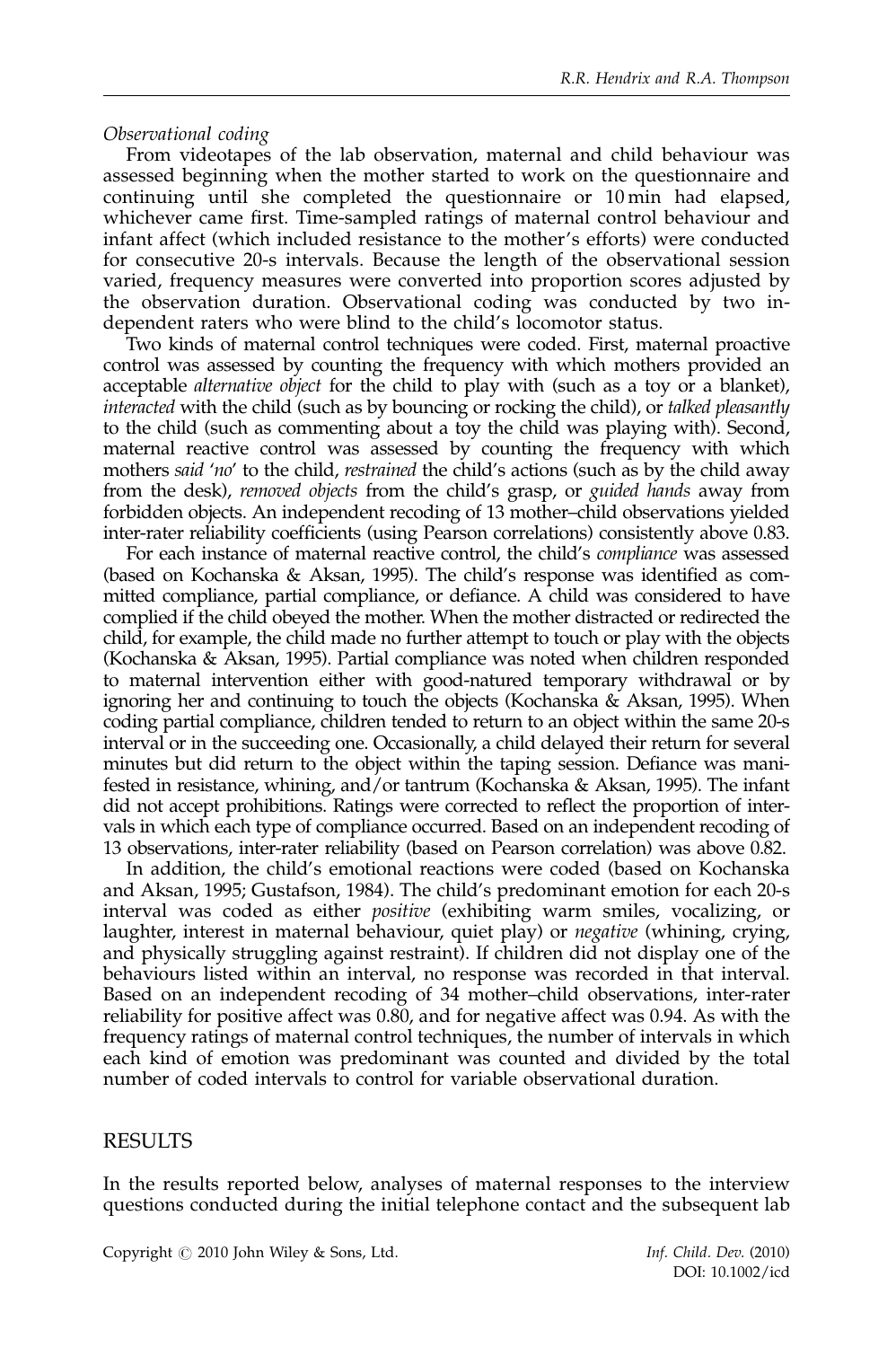#### Observational coding

From videotapes of the lab observation, maternal and child behaviour was assessed beginning when the mother started to work on the questionnaire and continuing until she completed the questionnaire or 10 min had elapsed, whichever came first. Time-sampled ratings of maternal control behaviour and infant affect (which included resistance to the mother's efforts) were conducted for consecutive 20-s intervals. Because the length of the observational session varied, frequency measures were converted into proportion scores adjusted by the observation duration. Observational coding was conducted by two independent raters who were blind to the child's locomotor status.

Two kinds of maternal control techniques were coded. First, maternal proactive control was assessed by counting the frequency with which mothers provided an acceptable alternative object for the child to play with (such as a toy or a blanket), interacted with the child (such as by bouncing or rocking the child), or talked pleasantly to the child (such as commenting about a toy the child was playing with). Second, maternal reactive control was assessed by counting the frequency with which mothers *said 'no'* to the child, *restrained* the child's actions (such as by the child away from the desk), removed objects from the child's grasp, or guided hands away from forbidden objects. An independent recoding of 13 mother–child observations yielded inter-rater reliability coefficients (using Pearson correlations) consistently above 0.83.

For each instance of maternal reactive control, the child's compliance was assessed (based on Kochanska & Aksan, 1995). The child's response was identified as committed compliance, partial compliance, or defiance. A child was considered to have complied if the child obeyed the mother. When the mother distracted or redirected the child, for example, the child made no further attempt to touch or play with the objects (Kochanska & Aksan, 1995). Partial compliance was noted when children responded to maternal intervention either with good-natured temporary withdrawal or by ignoring her and continuing to touch the objects (Kochanska & Aksan, 1995). When coding partial compliance, children tended to return to an object within the same 20-s interval or in the succeeding one. Occasionally, a child delayed their return for several minutes but did return to the object within the taping session. Defiance was manifested in resistance, whining, and/or tantrum (Kochanska & Aksan, 1995). The infant did not accept prohibitions. Ratings were corrected to reflect the proportion of intervals in which each type of compliance occurred. Based on an independent recoding of 13 observations, inter-rater reliability (based on Pearson correlation) was above 0.82.

In addition, the child's emotional reactions were coded (based on Kochanska and Aksan, 1995; Gustafson, 1984). The child's predominant emotion for each 20-s interval was coded as either *positive* (exhibiting warm smiles, vocalizing, or laughter, interest in maternal behaviour, quiet play) or negative (whining, crying, and physically struggling against restraint). If children did not display one of the behaviours listed within an interval, no response was recorded in that interval. Based on an independent recoding of 34 mother–child observations, inter-rater reliability for positive affect was 0.80, and for negative affect was 0.94. As with the frequency ratings of maternal control techniques, the number of intervals in which each kind of emotion was predominant was counted and divided by the total number of coded intervals to control for variable observational duration.

# RESULTS

In the results reported below, analyses of maternal responses to the interview questions conducted during the initial telephone contact and the subsequent lab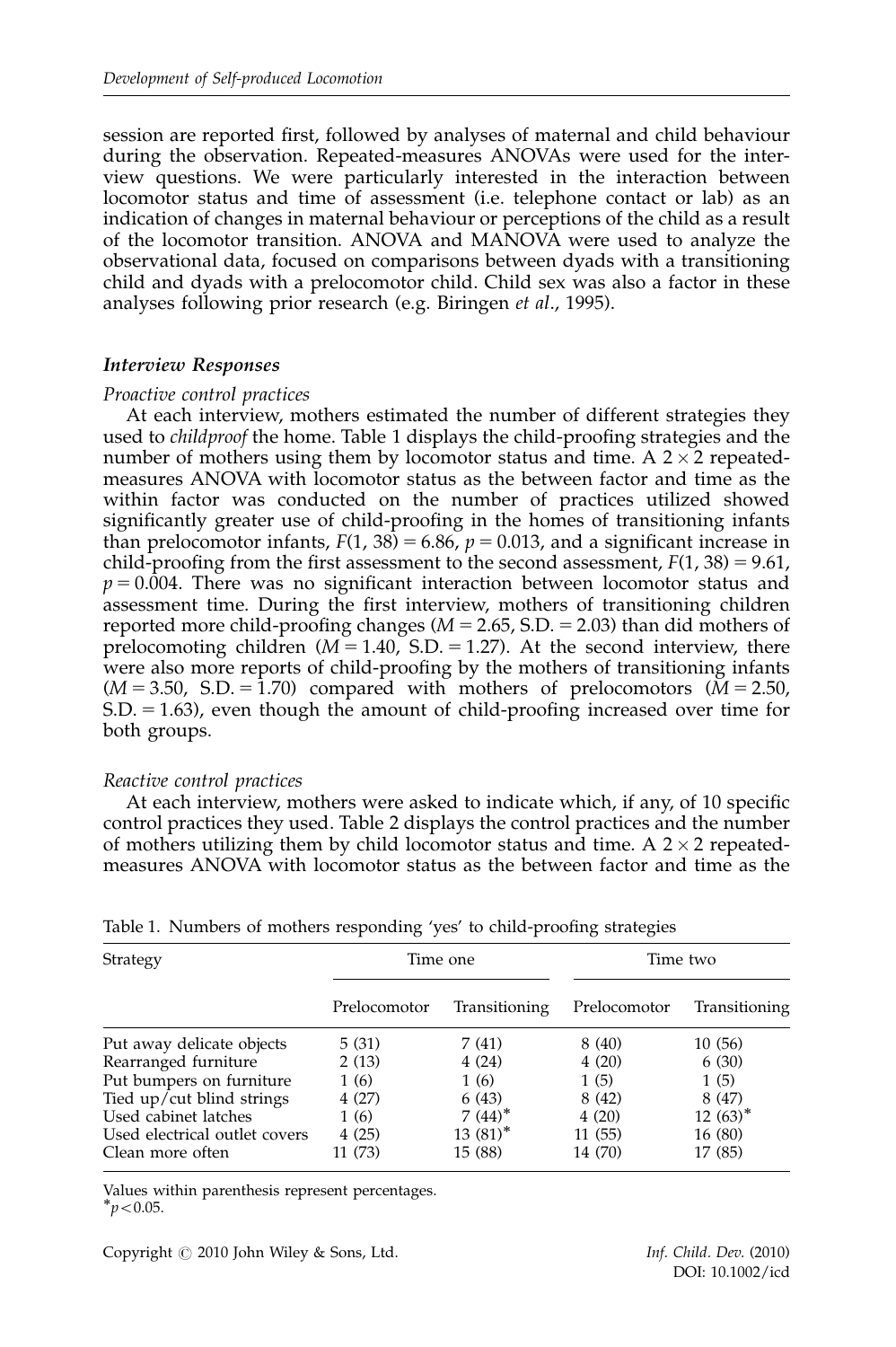session are reported first, followed by analyses of maternal and child behaviour during the observation. Repeated-measures ANOVAs were used for the interview questions. We were particularly interested in the interaction between locomotor status and time of assessment (i.e. telephone contact or lab) as an indication of changes in maternal behaviour or perceptions of the child as a result of the locomotor transition. ANOVA and MANOVA were used to analyze the observational data, focused on comparisons between dyads with a transitioning child and dyads with a prelocomotor child. Child sex was also a factor in these analyses following prior research (e.g. Biringen et al., 1995).

#### Interview Responses

#### Proactive control practices

At each interview, mothers estimated the number of different strategies they used to childproof the home. Table 1 displays the child-proofing strategies and the number of mothers using them by locomotor status and time. A  $2 \times 2$  repeatedmeasures ANOVA with locomotor status as the between factor and time as the within factor was conducted on the number of practices utilized showed significantly greater use of child-proofing in the homes of transitioning infants than prelocomotor infants,  $F(1, 38) = 6.86$ ,  $p = 0.013$ , and a significant increase in child-proofing from the first assessment to the second assessment,  $F(1, 38) = 9.61$ ,  $p = 0.004$ . There was no significant interaction between locomotor status and assessment time. During the first interview, mothers of transitioning children reported more child-proofing changes ( $M = 2.65$ , S.D. = 2.03) than did mothers of prelocomoting children  $(M = 1.40, S.D. = 1.27)$ . At the second interview, there were also more reports of child-proofing by the mothers of transitioning infants  $(M = 3.50, S.D. = 1.70)$  compared with mothers of prelocomotors  $(M = 2.50,$  $S.D. = 1.63$ , even though the amount of child-proofing increased over time for both groups.

#### Reactive control practices

At each interview, mothers were asked to indicate which, if any, of 10 specific control practices they used. Table 2 displays the control practices and the number of mothers utilizing them by child locomotor status and time. A  $2 \times 2$  repeatedmeasures ANOVA with locomotor status as the between factor and time as the

| Strategy                      | Time one     |               | Time two     |               |
|-------------------------------|--------------|---------------|--------------|---------------|
|                               | Prelocomotor | Transitioning | Prelocomotor | Transitioning |
| Put away delicate objects     | 5(31)        | 7 (41)        | 8(40)        | 10(56)        |
| Rearranged furniture          | 2(13)        | 4(24)         | 4(20)        | 6(30)         |
| Put bumpers on furniture      | 1(6)         | 1(6)          | 1(5)         | 1(5)          |
| Tied up/cut blind strings     | 4 (27)       | 6(43)         | 8(42)        | 8 (47)        |
| Used cabinet latches          | 1 (6)        | $7(44)^*$     | 4(20)        | $12(63)^*$    |
| Used electrical outlet covers | 4 (25)       | $13(81)$ *    | 11(55)       | 16 (80)       |
| Clean more often              | 11 (73)      | 15 (88)       | 14 (70)      | 17 (85)       |

Table 1. Numbers of mothers responding 'yes' to child-proofing strategies

Values within parenthesis represent percentages.  $*_{p<0.05}$ .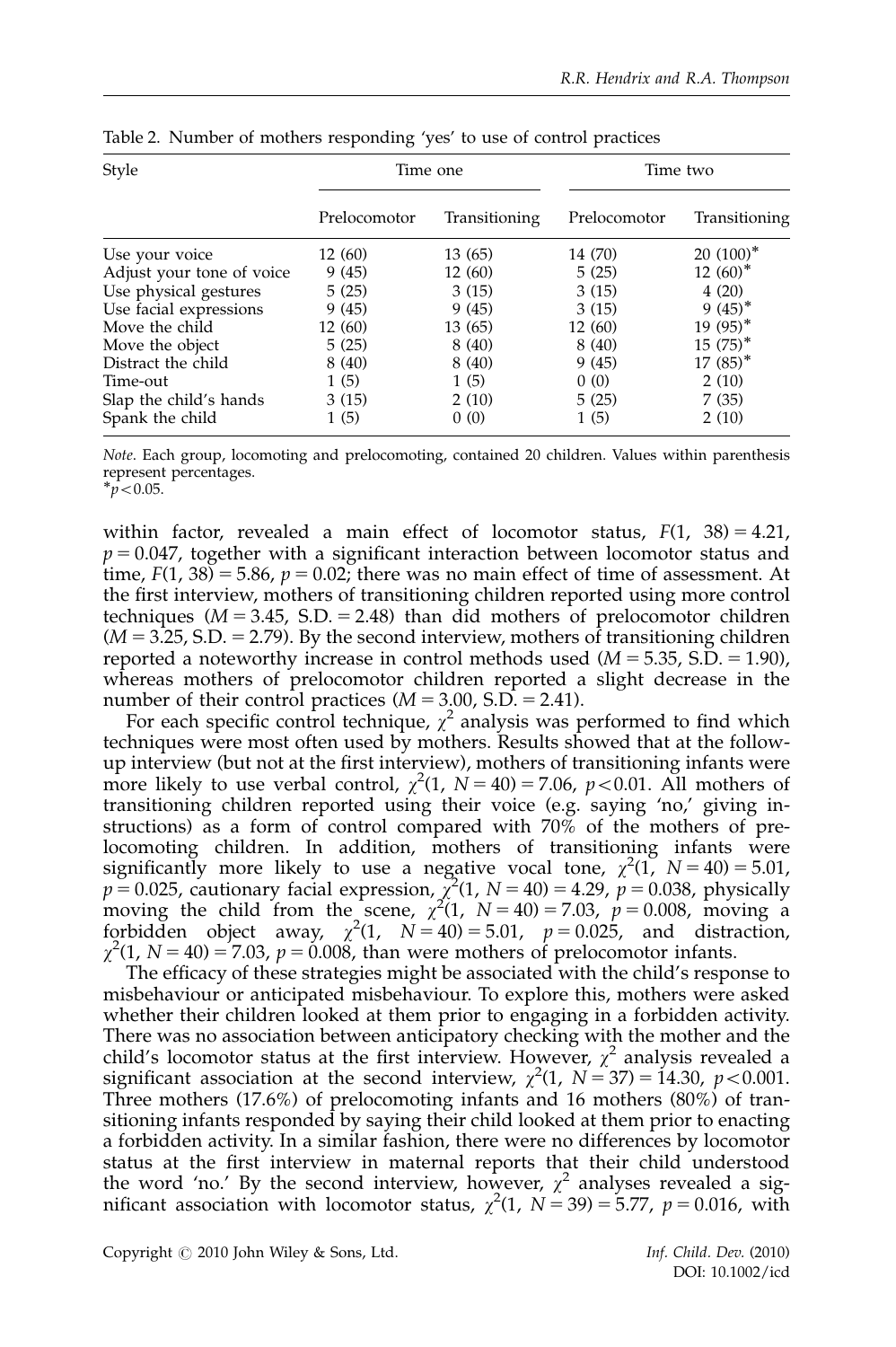| Style                     | Time one     |               | Time two     |               |
|---------------------------|--------------|---------------|--------------|---------------|
|                           | Prelocomotor | Transitioning | Prelocomotor | Transitioning |
| Use your voice            | 12 (60)      | 13 (65)       | 14 (70)      | $20(100)^*$   |
| Adjust your tone of voice | 9(45)        | 12 (60)       | 5(25)        | $12(60)^*$    |
| Use physical gestures     | 5(25)        | 3(15)         | 3(15)        | 4(20)         |
| Use facial expressions    | 9(45)        | 9(45)         | 3(15)        | $9(45)^*$     |
| Move the child            | 12 (60)      | 13 (65)       | 12(60)       | $19(95)^*$    |
| Move the object           | 5(25)        | 8 (40)        | 8(40)        | $15(75)^*$    |
| Distract the child        | 8 (40)       | 8 (40)        | 9(45)        | $17(85)^*$    |
| Time-out                  | 1(5)         | 1(5)          | 0(0)         | 2(10)         |
| Slap the child's hands    | 3(15)        | 2(10)         | 5(25)        | 7(35)         |
| Spank the child           | 1(5)         | 0(0)          | 1(5)         | 2(10)         |

Table 2. Number of mothers responding 'yes' to use of control practices

Note. Each group, locomoting and prelocomoting, contained 20 children. Values within parenthesis represent percentages.

 $p$  < 0.05.

within factor, revealed a main effect of locomotor status,  $F(1, 38) = 4.21$ ,  $p = 0.047$ , together with a significant interaction between locomotor status and time,  $F(1, 38) = 5.86$ ,  $p = 0.02$ ; there was no main effect of time of assessment. At the first interview, mothers of transitioning children reported using more control techniques ( $M = 3.45$ , S.D. = 2.48) than did mothers of prelocomotor children  $(M = 3.25, S.D. = 2.79)$ . By the second interview, mothers of transitioning children reported a noteworthy increase in control methods used  $(M = 5.35, S.D. = 1.90)$ , whereas mothers of prelocomotor children reported a slight decrease in the number of their control practices  $(M = 3.00, S.D. = 2.41)$ .

For each specific control technique,  $\chi^2$  analysis was performed to find which techniques were most often used by mothers. Results showed that at the followup interview (but not at the first interview), mothers of transitioning infants were more likely to use verbal control,  $\chi^2(1, N = 40) = 7.06$ ,  $p < 0.01$ . All mothers of transitioning children reported using their voice (e.g. saying 'no,' giving instructions) as a form of control compared with 70% of the mothers of prelocomoting children. In addition, mothers of transitioning infants were significantly more likely to use a negative vocal tone,  $\chi^2(1)$ ,  $N = 40$ ) = 5.01,  $p = 0.025$ , cautionary facial expression,  $\chi^2(1, N = 40) = 4.29$ ,  $p = 0.038$ , physically moving the child from the scene,  $\chi^2(1, N=40) = 7.03$ ,  $p = 0.008$ , moving a forbidden object away,  $\chi^2(1, N = 40) = 5.01, p = 0.025,$  and distraction,  $\chi^2(1, N = 40) = 7.03$ ,  $p = 0.008$ , than were mothers of prelocomotor infants.

The efficacy of these strategies might be associated with the child's response to misbehaviour or anticipated misbehaviour. To explore this, mothers were asked whether their children looked at them prior to engaging in a forbidden activity. There was no association between anticipatory checking with the mother and the child's locomotor status at the first interview. However,  $\chi^2$  analysis revealed a significant association at the second interview,  $\chi^2(1, N = 37) = 14.30$ ,  $p < 0.001$ . Three mothers (17.6%) of prelocomoting infants and 16 mothers (80%) of transitioning infants responded by saying their child looked at them prior to enacting a forbidden activity. In a similar fashion, there were no differences by locomotor status at the first interview in maternal reports that their child understood the word 'no.' By the second interview, however,  $\chi^2$  analyses revealed a significant association with locomotor status,  $\chi^2(1, N = 39) = 5.77$ ,  $p = 0.016$ , with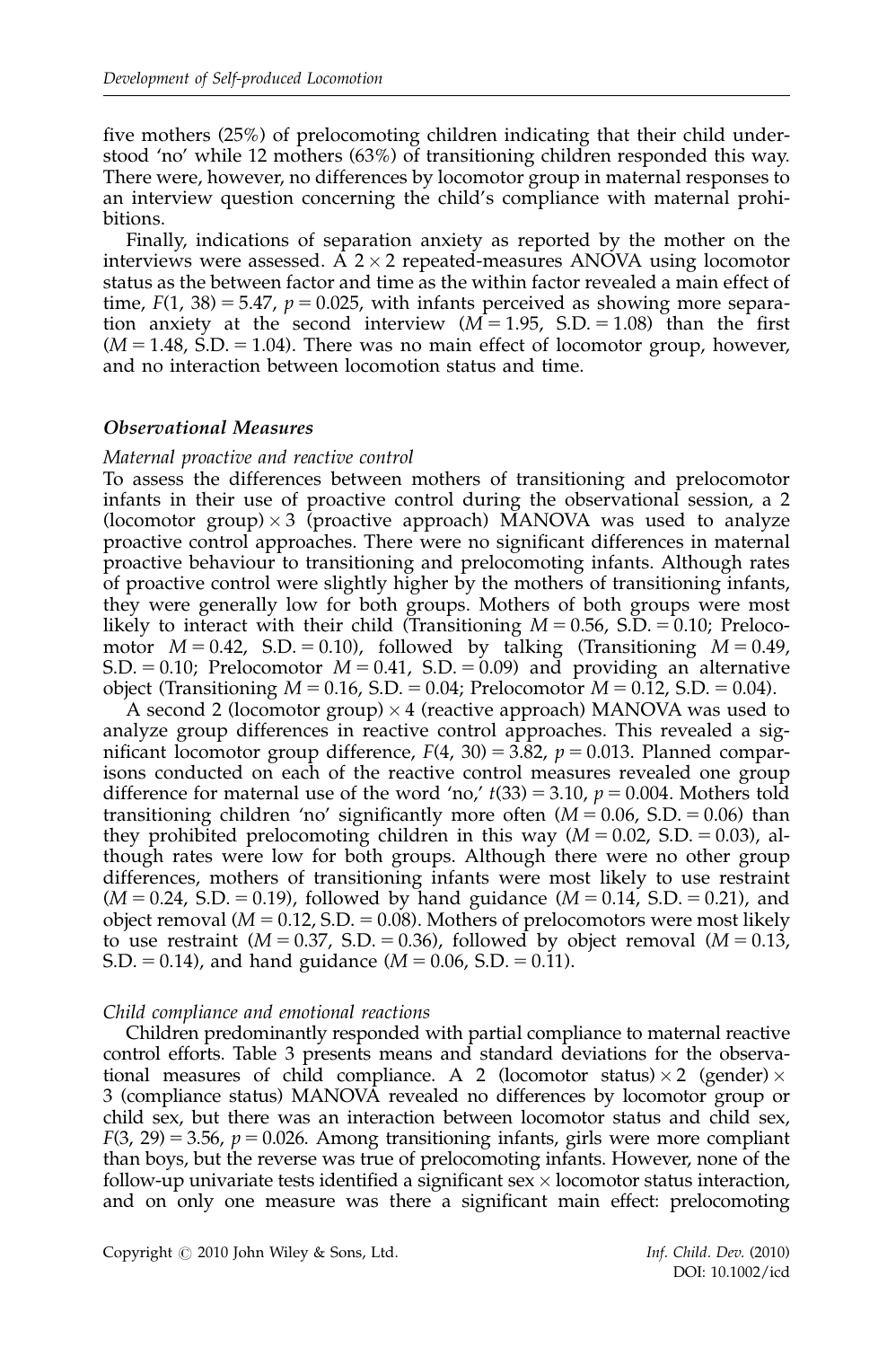five mothers (25%) of prelocomoting children indicating that their child understood 'no' while 12 mothers (63%) of transitioning children responded this way. There were, however, no differences by locomotor group in maternal responses to an interview question concerning the child's compliance with maternal prohibitions.

Finally, indications of separation anxiety as reported by the mother on the interviews were assessed. A 2  $\times$  2 repeated-measures ANOVA using locomotor status as the between factor and time as the within factor revealed a main effect of time,  $F(1, 38) = 5.47$ ,  $p = 0.025$ , with infants perceived as showing more separation anxiety at the second interview  $(M = 1.95, S.D. = 1.08)$  than the first  $(M = 1.48, S.D. = 1.04)$ . There was no main effect of locomotor group, however, and no interaction between locomotion status and time.

# Observational Measures

#### Maternal proactive and reactive control

To assess the differences between mothers of transitioning and prelocomotor infants in their use of proactive control during the observational session, a 2 (locomotor group)  $\times 3$  (proactive approach) MANOVA was used to analyze proactive control approaches. There were no significant differences in maternal proactive behaviour to transitioning and prelocomoting infants. Although rates of proactive control were slightly higher by the mothers of transitioning infants, they were generally low for both groups. Mothers of both groups were most likely to interact with their child (Transitioning  $M = 0.56$ , S.D. = 0.10; Prelocomotor  $M = 0.42$ , S.D. = 0.10), followed by talking (Transitioning  $M = 0.49$ , S.D. = 0.10; Prelocomotor  $M = 0.41$ , S.D. = 0.09) and providing an alternative object (Transitioning  $M = 0.16$ , S.D. = 0.04; Prelocomotor  $M = 0.12$ , S.D. = 0.04).

A second 2 (locomotor group)  $\times$  4 (reactive approach) MANOVA was used to analyze group differences in reactive control approaches. This revealed a significant locomotor group difference,  $F(4, 30) = 3.82$ ,  $p = 0.013$ . Planned comparisons conducted on each of the reactive control measures revealed one group difference for maternal use of the word 'no,'  $t(33) = 3.10$ ,  $p = 0.004$ . Mothers told transitioning children 'no' significantly more often  $(M = 0.06, S.D. = 0.06)$  than they prohibited prelocomoting children in this way  $(M = 0.02, S.D. = 0.03)$ , although rates were low for both groups. Although there were no other group differences, mothers of transitioning infants were most likely to use restraint  $(M = 0.24, S.D. = 0.19)$ , followed by hand guidance  $(M = 0.14, S.D. = 0.21)$ , and object removal  $(M = 0.12, S.D. = 0.08)$ . Mothers of prelocomotors were most likely to use restraint ( $M = 0.37$ , S.D. = 0.36), followed by object removal ( $M = 0.13$ , S.D. = 0.14), and hand guidance ( $M = 0.06$ , S.D. = 0.11).

#### Child compliance and emotional reactions

Children predominantly responded with partial compliance to maternal reactive control efforts. Table 3 presents means and standard deviations for the observational measures of child compliance. A 2 (locomotor status)  $\times$  2 (gender)  $\times$ 3 (compliance status) MANOVA revealed no differences by locomotor group or child sex, but there was an interaction between locomotor status and child sex,  $F(3, 29) = 3.56$ ,  $p = 0.026$ . Among transitioning infants, girls were more compliant than boys, but the reverse was true of prelocomoting infants. However, none of the follow-up univariate tests identified a significant sex  $\times$  locomotor status interaction, and on only one measure was there a significant main effect: prelocomoting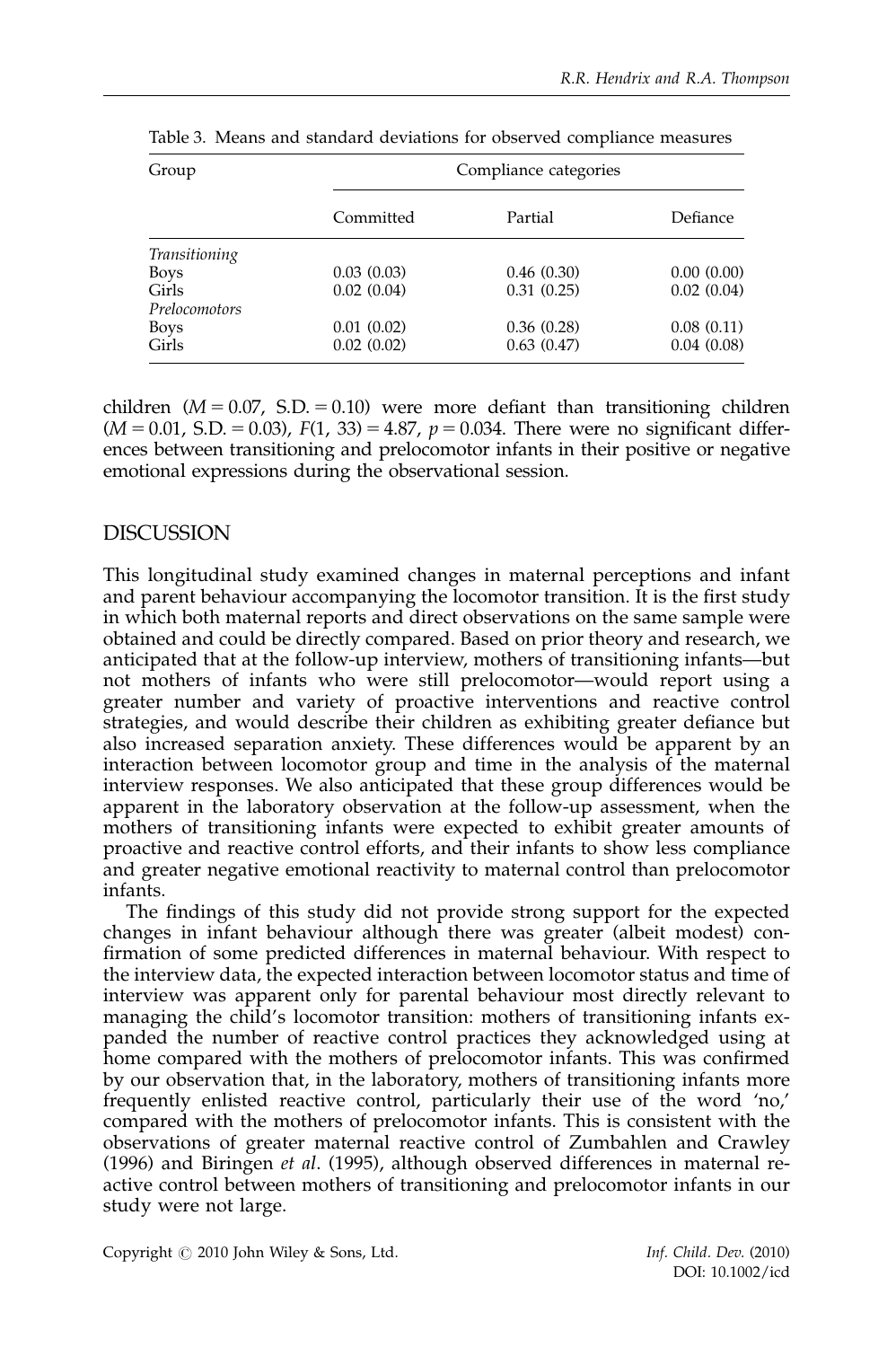| Group                |            | Compliance categories |            |  |  |
|----------------------|------------|-----------------------|------------|--|--|
|                      | Committed  | Partial               | Defiance   |  |  |
| <b>Transitioning</b> |            |                       |            |  |  |
| <b>Boys</b>          | 0.03(0.03) | 0.46(0.30)            | 0.00(0.00) |  |  |
| Girls                | 0.02(0.04) | 0.31(0.25)            | 0.02(0.04) |  |  |
| Prelocomotors        |            |                       |            |  |  |
| <b>Boys</b>          | 0.01(0.02) | 0.36(0.28)            | 0.08(0.11) |  |  |
| Girls                | 0.02(0.02) | 0.63(0.47)            | 0.04(0.08) |  |  |

Table 3. Means and standard deviations for observed compliance measures

children ( $M = 0.07$ , S.D. = 0.10) were more defiant than transitioning children  $(M = 0.01, S.D. = 0.03)$ ,  $F(1, 33) = 4.87$ ,  $p = 0.034$ . There were no significant differences between transitioning and prelocomotor infants in their positive or negative emotional expressions during the observational session.

# **DISCUSSION**

This longitudinal study examined changes in maternal perceptions and infant and parent behaviour accompanying the locomotor transition. It is the first study in which both maternal reports and direct observations on the same sample were obtained and could be directly compared. Based on prior theory and research, we anticipated that at the follow-up interview, mothers of transitioning infants—but not mothers of infants who were still prelocomotor—would report using a greater number and variety of proactive interventions and reactive control strategies, and would describe their children as exhibiting greater defiance but also increased separation anxiety. These differences would be apparent by an interaction between locomotor group and time in the analysis of the maternal interview responses. We also anticipated that these group differences would be apparent in the laboratory observation at the follow-up assessment, when the mothers of transitioning infants were expected to exhibit greater amounts of proactive and reactive control efforts, and their infants to show less compliance and greater negative emotional reactivity to maternal control than prelocomotor infants.

The findings of this study did not provide strong support for the expected changes in infant behaviour although there was greater (albeit modest) confirmation of some predicted differences in maternal behaviour. With respect to the interview data, the expected interaction between locomotor status and time of interview was apparent only for parental behaviour most directly relevant to managing the child's locomotor transition: mothers of transitioning infants expanded the number of reactive control practices they acknowledged using at home compared with the mothers of prelocomotor infants. This was confirmed by our observation that, in the laboratory, mothers of transitioning infants more frequently enlisted reactive control, particularly their use of the word 'no,' compared with the mothers of prelocomotor infants. This is consistent with the observations of greater maternal reactive control of Zumbahlen and Crawley (1996) and Biringen et al. (1995), although observed differences in maternal reactive control between mothers of transitioning and prelocomotor infants in our study were not large.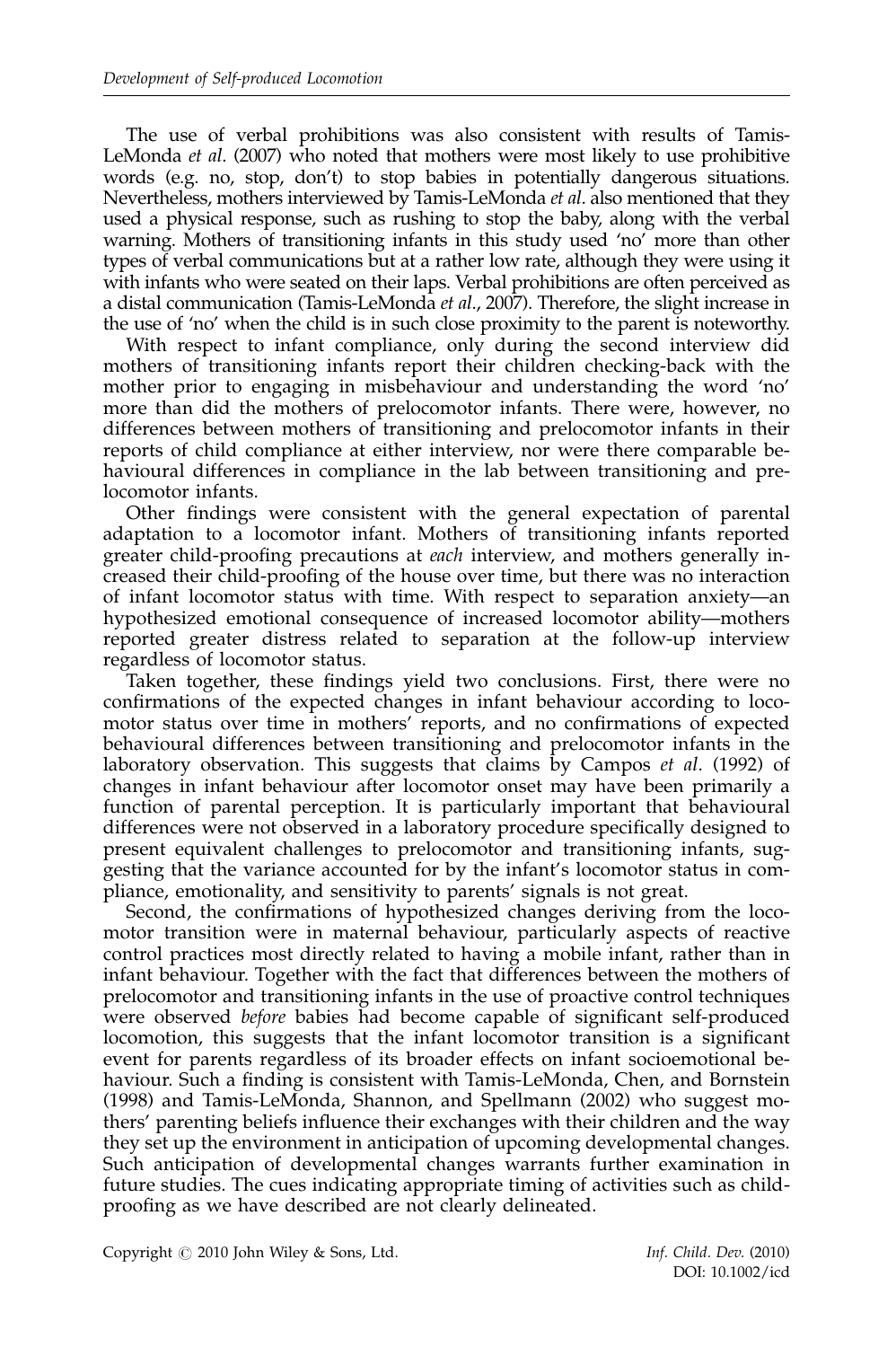The use of verbal prohibitions was also consistent with results of Tamis-LeMonda et al. (2007) who noted that mothers were most likely to use prohibitive words (e.g. no, stop, don't) to stop babies in potentially dangerous situations. Nevertheless, mothers interviewed by Tamis-LeMonda et al. also mentioned that they used a physical response, such as rushing to stop the baby, along with the verbal warning. Mothers of transitioning infants in this study used 'no' more than other types of verbal communications but at a rather low rate, although they were using it with infants who were seated on their laps. Verbal prohibitions are often perceived as a distal communication (Tamis-LeMonda et al., 2007). Therefore, the slight increase in the use of 'no' when the child is in such close proximity to the parent is noteworthy.

With respect to infant compliance, only during the second interview did mothers of transitioning infants report their children checking-back with the mother prior to engaging in misbehaviour and understanding the word 'no' more than did the mothers of prelocomotor infants. There were, however, no differences between mothers of transitioning and prelocomotor infants in their reports of child compliance at either interview, nor were there comparable behavioural differences in compliance in the lab between transitioning and prelocomotor infants.

Other findings were consistent with the general expectation of parental adaptation to a locomotor infant. Mothers of transitioning infants reported greater child-proofing precautions at each interview, and mothers generally increased their child-proofing of the house over time, but there was no interaction of infant locomotor status with time. With respect to separation anxiety—an hypothesized emotional consequence of increased locomotor ability—mothers reported greater distress related to separation at the follow-up interview regardless of locomotor status.

Taken together, these findings yield two conclusions. First, there were no confirmations of the expected changes in infant behaviour according to locomotor status over time in mothers' reports, and no confirmations of expected behavioural differences between transitioning and prelocomotor infants in the laboratory observation. This suggests that claims by Campos *et al.* (1992) of changes in infant behaviour after locomotor onset may have been primarily a function of parental perception. It is particularly important that behavioural differences were not observed in a laboratory procedure specifically designed to present equivalent challenges to prelocomotor and transitioning infants, suggesting that the variance accounted for by the infant's locomotor status in compliance, emotionality, and sensitivity to parents' signals is not great.

Second, the confirmations of hypothesized changes deriving from the locomotor transition were in maternal behaviour, particularly aspects of reactive control practices most directly related to having a mobile infant, rather than in infant behaviour. Together with the fact that differences between the mothers of prelocomotor and transitioning infants in the use of proactive control techniques were observed before babies had become capable of significant self-produced locomotion, this suggests that the infant locomotor transition is a significant event for parents regardless of its broader effects on infant socioemotional behaviour. Such a finding is consistent with Tamis-LeMonda, Chen, and Bornstein (1998) and Tamis-LeMonda, Shannon, and Spellmann (2002) who suggest mothers' parenting beliefs influence their exchanges with their children and the way they set up the environment in anticipation of upcoming developmental changes. Such anticipation of developmental changes warrants further examination in future studies. The cues indicating appropriate timing of activities such as childproofing as we have described are not clearly delineated.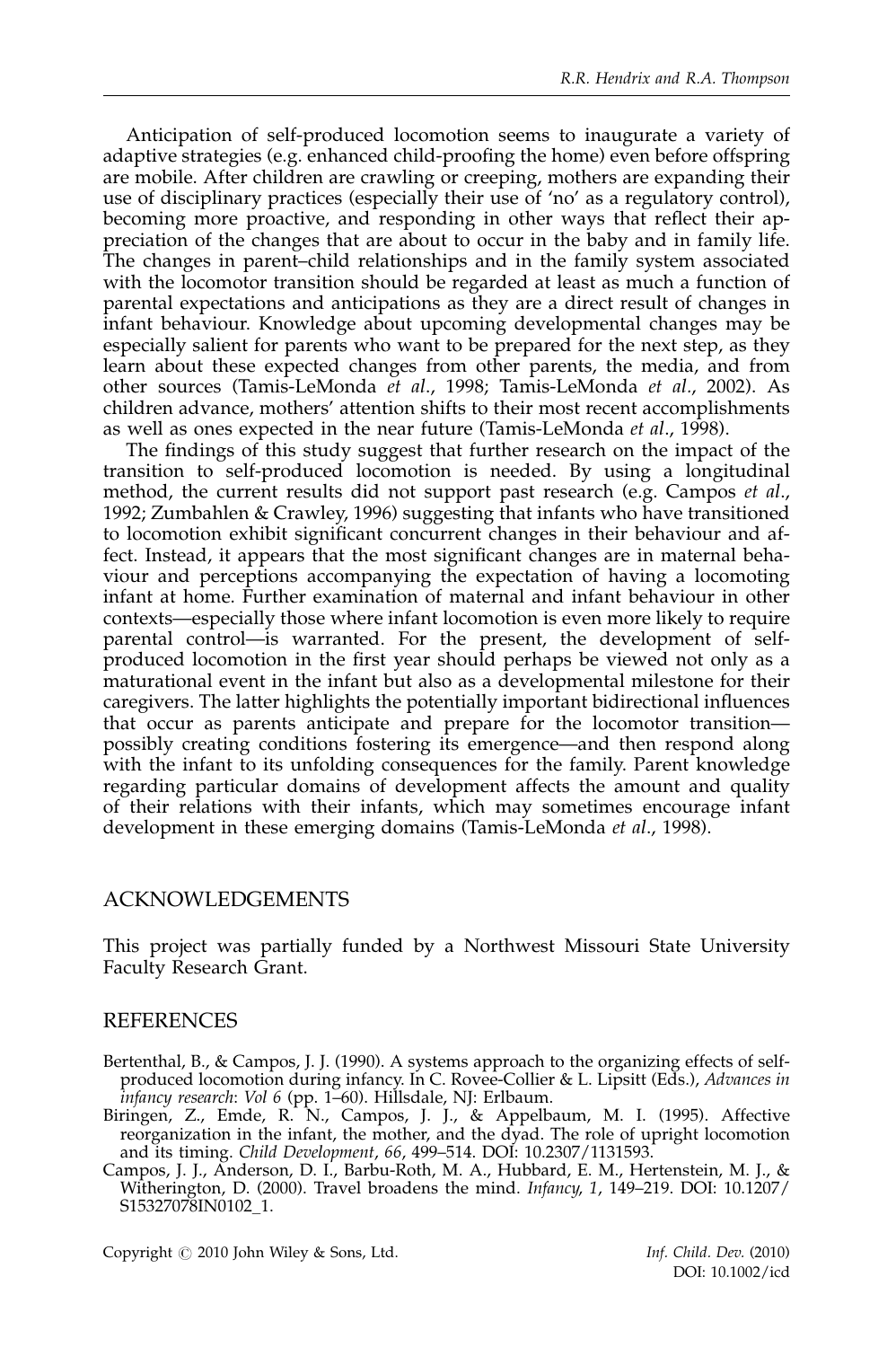Anticipation of self-produced locomotion seems to inaugurate a variety of adaptive strategies (e.g. enhanced child-proofing the home) even before offspring are mobile. After children are crawling or creeping, mothers are expanding their use of disciplinary practices (especially their use of 'no' as a regulatory control), becoming more proactive, and responding in other ways that reflect their appreciation of the changes that are about to occur in the baby and in family life. The changes in parent–child relationships and in the family system associated with the locomotor transition should be regarded at least as much a function of parental expectations and anticipations as they are a direct result of changes in infant behaviour. Knowledge about upcoming developmental changes may be especially salient for parents who want to be prepared for the next step, as they learn about these expected changes from other parents, the media, and from other sources (Tamis-LeMonda et al., 1998; Tamis-LeMonda et al., 2002). As children advance, mothers' attention shifts to their most recent accomplishments as well as ones expected in the near future (Tamis-LeMonda et al., 1998).

The findings of this study suggest that further research on the impact of the transition to self-produced locomotion is needed. By using a longitudinal method, the current results did not support past research (e.g. Campos et al., 1992; Zumbahlen & Crawley, 1996) suggesting that infants who have transitioned to locomotion exhibit significant concurrent changes in their behaviour and affect. Instead, it appears that the most significant changes are in maternal behaviour and perceptions accompanying the expectation of having a locomoting infant at home. Further examination of maternal and infant behaviour in other contexts—especially those where infant locomotion is even more likely to require parental control—is warranted. For the present, the development of selfproduced locomotion in the first year should perhaps be viewed not only as a maturational event in the infant but also as a developmental milestone for their caregivers. The latter highlights the potentially important bidirectional influences that occur as parents anticipate and prepare for the locomotor transition possibly creating conditions fostering its emergence—and then respond along with the infant to its unfolding consequences for the family. Parent knowledge regarding particular domains of development affects the amount and quality of their relations with their infants, which may sometimes encourage infant development in these emerging domains (Tamis-LeMonda et al., 1998).

# ACKNOWLEDGEMENTS

This project was partially funded by a Northwest Missouri State University Faculty Research Grant.

# REFERENCES

- Bertenthal, B., & Campos, J. J. (1990). A systems approach to the organizing effects of selfproduced locomotion during infancy. In C. Rovee-Collier & L. Lipsitt (Eds.), Advances in infancy research: Vol 6 (pp. 1–60). Hillsdale, NJ: Erlbaum.
- Biringen, Z., Emde, R. N., Campos, J. J., & Appelbaum, M. I. (1995). Affective reorganization in the infant, the mother, and the dyad. The role of upright locomotion and its timing. Child Development, 66, 499–514. DOI: 10.2307/1131593.
- Campos, J. J., Anderson, D. I., Barbu-Roth, M. A., Hubbard, E. M., Hertenstein, M. J., & Witherington, D. (2000). Travel broadens the mind. Infancy, 1, 149–219. DOI: 10.1207/ S15327078IN0102\_1.

Copyright © 2010 John Wiley & Sons, Ltd. Inf. Child. Dev. (2010)

DOI: 10.1002/icd